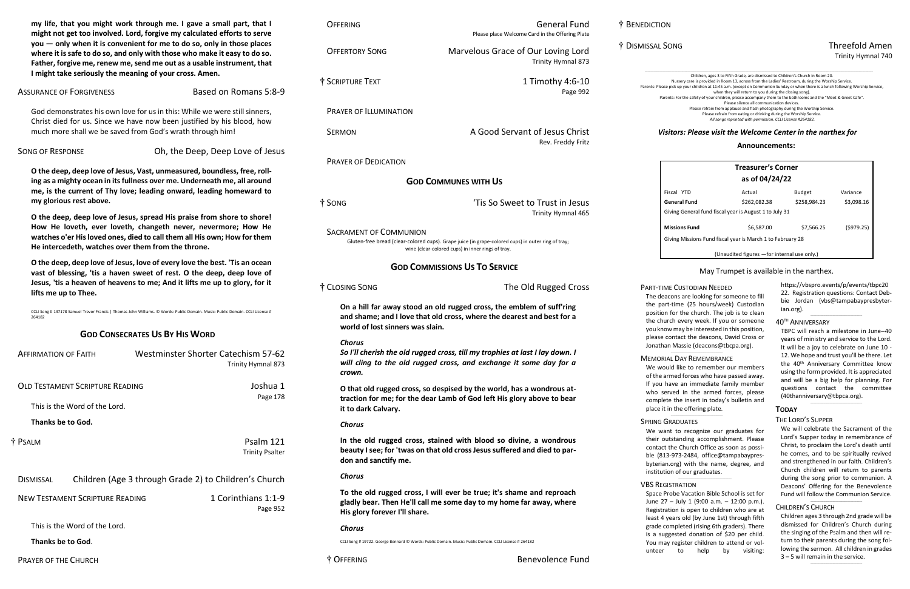# † DISMISSAL SONG Threefold Amen Trinity Hymnal 740

Children, ages 3 to Fifth Grade, are dismissed to Children's Church in Room 20.<br>Nursery care is provided in Room 13, across from the Ladies' Restroom, during the Worship Service.

Parents: Please pick up your children at 11:45 a.m. (except on Communion Sunday or when there is a lunch following Worship Service,

when they will return to you during the closing song).

Parents: For the safety of your children, please accompany them to the bathrooms and the "Meet & Greet Café".

Please silence all communication devices.

Please refrain from applause and flash photography during the Worship Service.

Please refrain from eating or drinking during the Worship Service. *All songs reprinted with permission. CCLI License #264182.*

# *Visitors: Please visit the Welcome Center in the narthex for*

**my life, that you might work through me. I gave a small part, that I might not get too involved. Lord, forgive my calculated efforts to serve you — only when it is convenient for me to do so, only in those places where it is safe to do so, and only with those who make it easy to do so. Father, forgive me, renew me, send me out as a usable instrument, that I might take seriously the meaning of your cross. Amen.**

# ASSURANCE OF FORGIVENESS Based on Romans 5:8-9

God demonstrates his own love for us in this: While we were still sinners, Christ died for us. Since we have now been justified by his blood, how much more shall we be saved from God's wrath through him!

SONG OF RESPONSE **Oh, the Deep, Deep Love of Jesus** 

**O the deep, deep love of Jesus, Vast, unmeasured, boundless, free, rolling as a mighty ocean in its fullness over me. Underneath me, all around me, is the current of Thy love; leading onward, leading homeward to my glorious rest above.**

**O the deep, deep love of Jesus, spread His praise from shore to shore! How He loveth, ever loveth, changeth never, nevermore; How He watches o'er His loved ones, died to call them all His own; How for them He intercedeth, watches over them from the throne.**

**O the deep, deep love of Jesus, love of every love the best. 'Tis an ocean vast of blessing, 'tis a haven sweet of rest. O the deep, deep love of Jesus, 'tis a heaven of heavens to me; And it lifts me up to glory, for it lifts me up to Thee.**

CCLI Song # 137178 Samuel Trevor Francis | Thomas John Williams. © Words: Public Domain. Music: Public Domain. CCLI License # 264182

# **GOD CONSECRATES US BY HIS WORD**

# *information about the church and a free booklet.* **Announcements:**

| <b>AFFIRMATION OF FAITH</b>            | <b>Westminster Shorter Catechism 57-62</b><br>Trinity Hymnal 873 |
|----------------------------------------|------------------------------------------------------------------|
| OLD TESTAMENT SCRIPTURE READING        | Joshua 1<br>Page 178                                             |
| This is the Word of the Lord.          |                                                                  |
| Thanks be to God.                      |                                                                  |
| † Psalm                                | Psalm 121<br><b>Trinity Psalter</b>                              |
| <b>DISMISSAL</b>                       | Children (Age 3 through Grade 2) to Children's Church            |
| <b>NEW TESTAMENT SCRIPTURE READING</b> | 1 Corinthians 1:1-9<br>Page 952                                  |
| This is the Word of the Lord.          |                                                                  |
| Thanks be to God.                      |                                                                  |

OFFERING General Fund

Please place Welcome Card in the Offering Plate

OFFERTORY SONG Marvelous Grace of Our Loving Lord

Trinity Hymnal 873

We want to recognize our graduates for their outstanding accomplishment. Please contact the Church Office as soon as possible (813-973-2484, office@tampabaypresbyterian.org) with the name, degree, and institution of our graduates.  $\_$ 

| † SCRIPTURE TEXT                 | 1 Timothy 4:6-10<br>Page 992                                                                                                                            |
|----------------------------------|---------------------------------------------------------------------------------------------------------------------------------------------------------|
| <b>PRAYER OF ILLUMINATION</b>    |                                                                                                                                                         |
| <b>SERMON</b>                    | A Good Servant of Jesus Christ<br>Rev. Freddy Fritz                                                                                                     |
| <b>PRAYER OF DEDICATION</b>      |                                                                                                                                                         |
|                                  | <b>GOD COMMUNES WITH US</b>                                                                                                                             |
| † SONG                           | 'Tis So Sweet to Trust in Jesus<br>Trinity Hymnal 465                                                                                                   |
| <b>SACRAMENT OF COMMUNION</b>    | Gluten-free bread (clear-colored cups). Grape juice (in grape-colored cups) in outer ring of tray;<br>wine (clear-colored cups) in inner rings of tray. |
|                                  | <b>GOD COMMISSIONS US TO SERVICE</b>                                                                                                                    |
| † CLOSING SONG                   | The Old Rugged Cross                                                                                                                                    |
| world of lost sinners was slain. | On a hill far away stood an old rugged cross, the emblem of suff'ring<br>and shame; and I love that old cross, where the dearest and best for a         |
| <b>Chorus</b><br>crown.          | So I'll cherish the old rugged cross, till my trophies at last I lay down. I<br>will cling to the old rugged cross, and exchange it some day for a      |
| it to dark Calvary.              | O that old rugged cross, so despised by the world, has a wondrous at-<br>traction for me; for the dear Lamb of God left His glory above to bear         |
| <b>Chorus</b>                    |                                                                                                                                                         |
| don and sanctify me.             | In the old rugged cross, stained with blood so divine, a wondrous<br>beauty I see; for 'twas on that old cross Jesus suffered and died to par-          |
| <b>Chorus</b>                    |                                                                                                                                                         |
| His glory forever I'll share.    | To the old rugged cross, I will ever be true; it's shame and reproach<br>gladly bear. Then He'll call me some day to my home far away, where            |
| <b>Chorus</b>                    |                                                                                                                                                         |

CCLI Song # 19722. George Bennard © Words: Public Domain. Music: Public Domain. CCLI License # 264182

| <b>Treasurer's Corner</b><br>as of 04/24/22                |              |               |            |  |
|------------------------------------------------------------|--------------|---------------|------------|--|
| Fiscal YTD                                                 | Actual       | <b>Budget</b> | Variance   |  |
| General Fund                                               | \$262,082.38 | \$258,984.23  | \$3,098.16 |  |
| Giving General fund fiscal year is August 1 to July 31     |              |               |            |  |
| <b>Missions Fund</b>                                       | \$6.587.00   | \$7,566.25    | (5979.25)  |  |
| Giving Missions Fund fiscal year is March 1 to February 28 |              |               |            |  |
| (Unaudited figures - for internal use only.)               |              |               |            |  |

# May Trumpet is available in the narthex.

[https://vbspro.events/p/events/tbpc20](https://vbspro.events/p/events/tbpc2022) [22.](https://vbspro.events/p/events/tbpc2022) Registration questions: Contact Debbie Jordan [\(vbs@tampabaypresbyter](mailto:vbs@tampabaypresbyterian.org)[ian.org\)](mailto:vbs@tampabaypresbyterian.org).

 $\_$ 

# 40 TH ANNIVERSARY

TBPC will reach a milestone in June--40 years of ministry and service to the Lord. It will be a joy to celebrate on June 10 - 12. We hope and trust you'll be there. Let the 40<sup>th</sup> Anniversary Committee know using the form provided. It is appreciated and will be a big help for planning. For questions contact the committee (40thanniversary@tbpca.org).

 $\_$ 

# **TODAY**

## THE LORD'S SUPPER

We will celebrate the Sacrament of the Lord's Supper today in remembrance of Christ, to proclaim the Lord's death until he comes, and to be spiritually revived and strengthened in our faith. Children's Church children will return to parents during the song prior to communion. A Deacons' Offering for the Benevolence Fund will follow the Communion Service.

## CHILDREN'S CHURCH

Children ages 3 through 2nd grade will be dismissed for Children's Church during the singing of the Psalm and then will return to their parents during the song following the sermon. All children in grades 3 – 5 will remain in the service.

 $\_$ 

 $\_$ 

# PART-TIME CUSTODIAN NEEDED

The deacons are looking for someone to fill the part-time (25 hours/week) Custodian position for the church. The job is to clean the church every week. If you or someone you know may be interested in this position, please contact the deacons, David Cross or Jonathan Massie [\(deacons@tbcpa.org\)](mailto:deacons@tbcpa.org).

#### \_\_\_\_\_\_\_\_\_\_\_\_\_\_\_\_\_\_\_\_\_\_\_\_\_\_\_\_\_\_\_\_\_\_\_ MEMORIAL DAY REMEMBRANCE

We would like to remember our members of the armed forces who have passed away. If you have an immediate family member who served in the armed forces, please complete the insert in today's bulletin and place it in the offering plate.

\_\_\_\_\_\_\_\_\_\_\_\_\_\_\_\_\_\_\_\_\_\_\_\_\_\_\_\_\_\_\_\_\_\_\_

## SPRING GRADUATES

# VBS REGISTRATION

Space Probe Vacation Bible School is set for June 27 – July 1 (9:00 a.m. – 12:00 p.m.). Registration is open to children who are at least 4 years old (by June 1st) through fifth grade completed (rising 6th graders). There is a suggested donation of \$20 per child. You may register children to attend or volunteer to help by visiting: